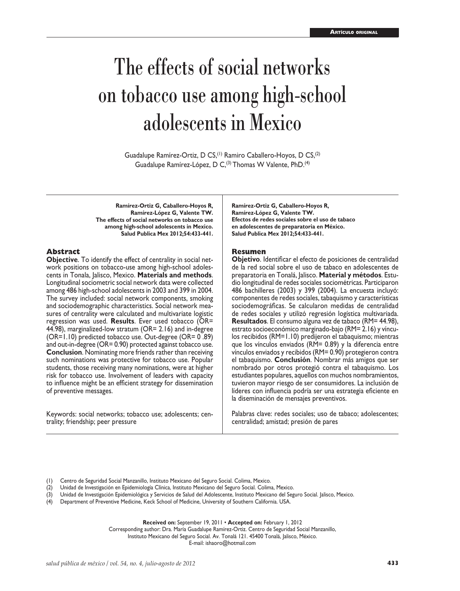# The effects of social networks on tobacco use among high-school adolescents in Mexico

Guadalupe Ramírez-Ortiz, D CS,<sup>(1)</sup> Ramiro Caballero-Hoyos, D CS,<sup>(2)</sup> Guadalupe Ramírez-López, D C,<sup>(3)</sup> Thomas W Valente, PhD.<sup>(4)</sup>

**Ramírez-Ortiz G, Caballero-Hoyos R, Ramírez-López G, Valente TW. The effects of social networks on tobacco use among high-school adolescents in Mexico. Salud Publica Mex 2012;54:433-441.**

#### **Abstract**

**Objective**. To identify the effect of centrality in social network positions on tobacco-use among high-school adoles cents in Tonala, Jalisco, Mexico. **Materials and methods**. Longitudinal sociometric social network data were collected among 486 high-school adolescents in 2003 and 399 in 2004. The survey included: social network components, smoking and sociodemographic characteristics. Social network mea sures of centrality were calculated and multivariate logistic regression was used. **Results**. Ever used tobacco (OR= 44.98), marginalized-low stratum (OR= 2.16) and in-degree (OR=1.10) predicted tobacco use. Out-degree (OR= 0 .89) and out-in-degree (OR= 0.90) protected against tobacco use. **Conclusion**. Nominating more friends rather than receiving such nominations was protective for tobacco use. Popular students, those receiving many nominations, were at higher risk for tobacco use. Involvement of leaders with capacity to influence might be an efficient strategy for dissemination of preventive messages.

Keywords: social networks; tobacco use; adolescents; centrality; friendship; peer pressure

**Ramírez-Ortiz G, Caballero-Hoyos R, Ramírez-López G, Valente TW. Efectos de redes sociales sobre el uso de tabaco en adolescentes de preparatoria en México. Salud Publica Mex 2012;54:433-441.**

### **Resumen**

**Objetivo**. Identificar el efecto de posiciones de centralidad de la red social sobre el uso de tabaco en adolescentes de preparatoria en Tonalá, Jalisco. **Material y métodos**. Estu dio longitudinal de redes sociales sociométricas. Participaron 486 bachilleres (2003) y 399 (2004). La encuesta incluyó: componentes de redes sociales, tabaquismo y características sociodemográficas. Se calcularon medidas de centralidad de redes sociales y utilizó regresión logística multivariada. **Resultados**. El consumo alguna vez de tabaco (RM= 44.98), estrato socioeconómico marginado-bajo (RM= 2.16) y víncu los recibidos (RM=1.10) predijeron el tabaquismo; mientras que los vínculos enviados (RM= 0.89) y la diferencia entre vínculos enviados y recibidos (RM= 0.90) protegieron contra el tabaquismo. **Conclusión**. Nombrar más amigos que ser nombrado por otros protegió contra el tabaquismo. Los estudiantes populares, aquellos con muchos nombramientos, tuvieron mayor riesgo de ser consumidores. La inclusión de líderes con influencia podría ser una estrategia eficiente en la diseminación de mensajes preventivos.

Palabras clave: redes sociales; uso de tabaco; adolescentes; centralidad; amistad; presión de pares

(1) Centro de Seguridad Social Manzanillo, Instituto Mexicano del Seguro Social. Colima, Mexico.

(2) Unidad de Investigación en Epidemiología Clínica, Instituto Mexicano del Seguro Social. Colima, Mexico.

- (3) Unidad de Investigación Epidemiológica y Servicios de Salud del Adolescente, Instituto Mexicano del Seguro Social. Jalisco, Mexico.
- (4) Department of Preventive Medicine, Keck School of Medicine, University of Southern California. USA.

**Received on:** September 19, 2011 • **Accepted on:** February 1, 2012

Corresponding author: Dra. María Guadalupe Ramírez-Ortiz. Centro de Seguridad Social Manzanillo,

Instituto Mexicano del Seguro Social. Av. Tonalá 121. 45400 Tonalá, Jalisco, México.

E-mail: ishaoro@hotmail.com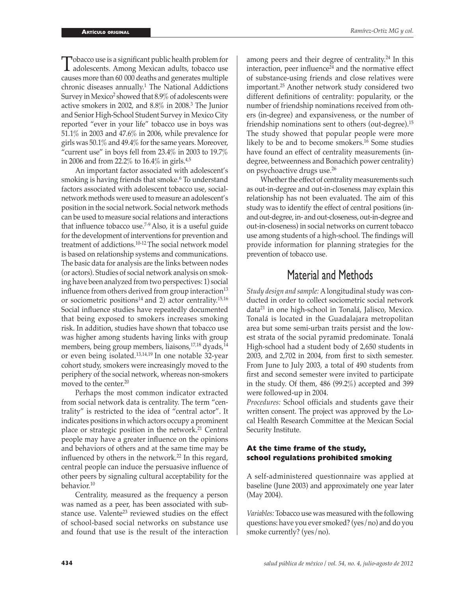Tobacco use is a significant public health problem for<br>adolescents. Among Mexican adults, tobacco use<br>causes man than 60,000 deaths and congrates multiple causes more than 60 000 deaths and generates multiple chronic diseases annually.<sup>1</sup> The National Addictions Survey in Mexico<sup>2</sup> showed that 8.9% of adolescents were active smokers in 2002, and 8.8% in 2008.<sup>3</sup> The Junior and Senior High-School Student Survey in Mexico City reported "ever in your life" tobacco use in boys was 51.1% in 2003 and 47.6% in 2006, while prevalence for girls was 50.1% and 49.4% for the same years. Moreover, "current use" in boys fell from  $23.4\%$  in 2003 to  $19.7\%$ in 2006 and from 22.2% to  $16.4\%$  in girls.<sup>4,5</sup>

An important factor associated with adolescent's smoking is having friends that smoke.<sup>6</sup> To understand factors associated with adolescent tobacco use, socialnetwork methods were used to measure an adolescent's position in the social network. Social network methods can be used to measure social relations and interactions that influence tobacco use.<sup> $7-9$ </sup> Also, it is a useful guide for the development of interventions for prevention and treatment of addictions.10-12 The social network model is based on relationship systems and communications. The basic data for analysis are the links between nodes (or actors). Studies of social network analysis on smoking have been analyzed from two perspectives: 1) social influence from others derived from group interaction<sup>13</sup> or sociometric positions<sup>14</sup> and 2) actor centrality.<sup>15,16</sup> Social influence studies have repeatedly documented that being exposed to smokers increases smoking risk. In addition, studies have shown that tobacco use was higher among students having links with group members, being group members, liaisons,<sup>17,18</sup> dyads,<sup>14</sup> or even being isolated.13,14,19 In one notable 32-year cohort study, smokers were increasingly moved to the periphery of the social network, whereas non-smokers moved to the center.<sup>20</sup>

Perhaps the most common indicator extracted from social network data is centrality. The term "centrality" is restricted to the idea of "central actor". It indicates positions in which actors occupy a prominent place or strategic position in the network.<sup>21</sup> Central people may have a greater influence on the opinions and behaviors of others and at the same time may be influenced by others in the network.<sup>22</sup> In this regard, central people can induce the persuasive influence of other peers by signaling cultural acceptability for the behavior.<sup>10</sup>

Centrality, measured as the frequency a person was named as a peer, has been associated with substance use. Valente<sup>23</sup> reviewed studies on the effect of school-based social networks on substance use and found that use is the result of the interaction

among peers and their degree of centrality.<sup>24</sup> In this interaction, peer influence $24$  and the normative effect of substance-using friends and close relatives were important.<sup>25</sup> Another network study considered two different definitions of centrality: popularity, or the number of friendship nominations received from others (in-degree) and expansiveness, or the number of friendship nominations sent to others (out-degree).<sup>15</sup> The study showed that popular people were more likely to be and to become smokers. $^{16}$  Some studies have found an effect of centrality measurements (indegree, betweenness and Bonachich power centrality) on psychoactive drugs use.<sup>26</sup>

Whether the effect of centrality measurements such as out-in-degree and out-in-closeness may explain this relationship has not been evaluated. The aim of this study was to identify the effect of central positions (inand out-degree, in- and out-closeness, out-in-degree and out-in-closeness) in social networks on current tobacco use among students of a high-school. The findings will provide information for planning strategies for the prevention of tobacco use.

# Material and Methods

*Study design and sample:* A longitudinal study was conducted in order to collect sociometric social network data<sup>21</sup> in one high-school in Tonalá, Jalisco, Mexico. Tonalá is located in the Guadalajara metropolitan area but some semi-urban traits persist and the lowest strata of the social pyramid predominate. Tonalá High-school had a student body of 2,650 students in 2003, and 2,702 in 2004, from first to sixth semester. From June to July 2003, a total of 490 students from first and second semester were invited to participate in the study. Of them, 486 (99.2%) accepted and 399 were followed-up in 2004.

*Procedures:* School officials and students gave their written consent. The project was approved by the Local Health Research Committee at the Mexican Social Security Institute.

## **At the time frame of the study, school regulations prohibited smoking**

A self-administered questionnaire was applied at baseline (June 2003) and approximately one year later (May 2004).

*Variables:* Tobacco use was measured with the following questions: have you ever smoked? (yes/no) and do you smoke currently? (yes/no).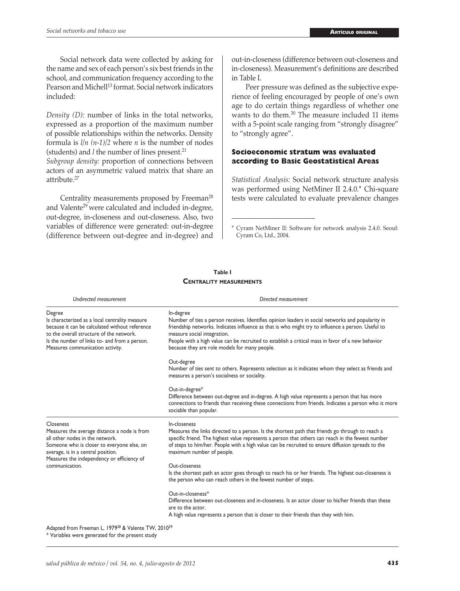Social network data were collected by asking for the name and sex of each person's six best friends in the school, and communication frequency according to the Pearson and Michell<sup>13</sup> format. Social network indicators included:

*Density (D):* number of links in the total networks, expressed as a proportion of the maximum number of possible relationships within the networks. Density formula is *l/n (n-1)/2* where *n* is the number of nodes (students) and *l* the number of lines present.<sup>21</sup>

*Subgroup density:* proportion of connections between actors of an asymmetric valued matrix that share an attribute.<sup>27</sup>

Centrality measurements proposed by Freeman<sup>28</sup> and Valente<sup>29</sup> were calculated and included in-degree, out-degree, in-closeness and out-closeness. Also, two variables of difference were generated: out-in-degree (difference between out-degree and in-degree) and out-in-closeness (difference between out-closeness and in-closeness). Measurement's definitions are described in Table I.

Peer pressure was defined as the subjective experience of feeling encouraged by people of one's own age to do certain things regardless of whether one wants to do them.<sup>30</sup> The measure included 11 items with a 5-point scale ranging from "strongly disagree" to "strongly agree".

# **Socioeconomic stratum was evaluated according to Basic Geostatistical Areas**

*Statistical Analysis:* Social network structure analysis was performed using NetMiner II 2.4.0.\* Chi-square tests were calculated to evaluate prevalence changes

\* Cyram NetMiner II: Software for network analysis 2.4.0. Seoul: Cyram Co, Ltd., 2004.

| Table I |                                |  |  |  |  |  |
|---------|--------------------------------|--|--|--|--|--|
|         | <b>CENTRALITY MEASUREMENTS</b> |  |  |  |  |  |

| Undirected measurement                                                                                                                                                                                                                      | Directed measurement                                                                                                                                                                                                                                                                                                                                                                                      |  |  |  |  |  |
|---------------------------------------------------------------------------------------------------------------------------------------------------------------------------------------------------------------------------------------------|-----------------------------------------------------------------------------------------------------------------------------------------------------------------------------------------------------------------------------------------------------------------------------------------------------------------------------------------------------------------------------------------------------------|--|--|--|--|--|
| Degree<br>Is characterized as a local centrality measure<br>because it can be calculated without reference<br>to the overall structure of the network.<br>Is the number of links to- and from a person.<br>Measures communication activity. | In-degree<br>Number of ties a person receives. Identifies opinion leaders in social networks and popularity in<br>friendship networks. Indicates influence as that is who might try to influence a person. Useful to<br>measure social integration.<br>People with a high value can be recruited to establish a critical mass in favor of a new behavior<br>because they are role models for many people. |  |  |  |  |  |
|                                                                                                                                                                                                                                             | Out-degree<br>Number of ties sent to others. Represents selection as it indicates whom they select as friends and<br>measures a person's socialness or sociality.                                                                                                                                                                                                                                         |  |  |  |  |  |
|                                                                                                                                                                                                                                             | Out-in-degree*<br>Difference between out-degree and in-degree. A high value represents a person that has more<br>connections to friends than receiving these connections from friends. Indicates a person who is more<br>sociable than popular.                                                                                                                                                           |  |  |  |  |  |
| Closeness<br>Measures the average distance a node is from<br>all other nodes in the network.<br>Someone who is closer to everyone else, on<br>average, is in a central position.<br>Measures the independency or efficiency of              | In-closeness<br>Measures the links directed to a person. Is the shortest path that friends go through to reach a<br>specific friend. The highest value represents a person that others can reach in the fewest number<br>of steps to him/her. People with a high value can be recruited to ensure diffusion spreads to the<br>maximum number of people.                                                   |  |  |  |  |  |
| communication.                                                                                                                                                                                                                              | Out-closeness<br>Is the shortest path an actor goes through to reach his or her friends. The highest out-closeness is<br>the person who can reach others in the fewest number of steps.                                                                                                                                                                                                                   |  |  |  |  |  |
|                                                                                                                                                                                                                                             | Out-in-closeness*<br>Difference between out-closeness and in-closeness. Is an actor closer to his/her friends than these<br>are to the actor.<br>A high value represents a person that is closer to their friends than they with him.                                                                                                                                                                     |  |  |  |  |  |
| Adapted from Freeman L, 1979 <sup>28</sup> & Valente TW, 2010 <sup>29</sup><br>* Variables were generated for the present study                                                                                                             |                                                                                                                                                                                                                                                                                                                                                                                                           |  |  |  |  |  |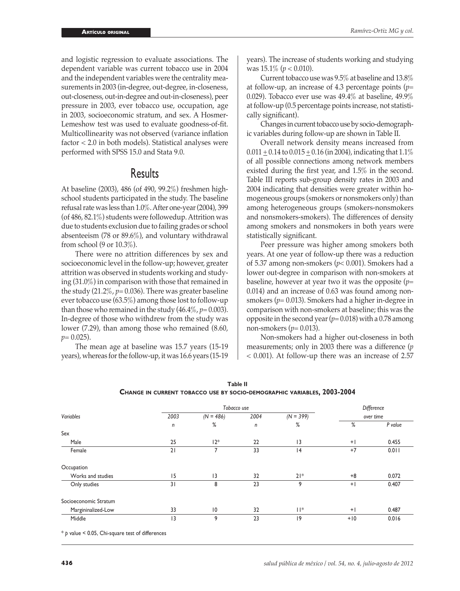and logistic regression to evaluate associations. The dependent variable was current tobacco use in 2004 and the independent variables were the centrality measurements in 2003 (in-degree, out-degree, in-closeness, out-closeness, out-in-degree and out-in-closeness), peer pressure in 2003, ever tobacco use, occupation, age in 2003, socioeconomic stratum, and sex. A Hosmer-Lemeshow test was used to evaluate goodness-of-fit. Multicollinearity was not observed (variance inflation factor < 2.0 in both models). Statistical analyses were performed with SPSS 15.0 and Stata 9.0.

# Results

At baseline (2003), 486 (of 490, 99.2%) freshmen highschool students participated in the study. The baseline refusal rate was less than 1.0%. After one-year (2004), 399 (of 486, 82.1%) students were followedup. Attrition was due to students exclusion due to failing grades or school absenteeism (78 or 89.6%), and voluntary withdrawal from school (9 or 10.3%).

There were no attrition differences by sex and socioeconomic level in the follow-up; however, greater attrition was observed in students working and studying (31.0%) in comparison with those that remained in the study (21.2%, *p*= 0.036). There was greater baseline ever tobacco use (63.5%) among those lost to follow-up than those who remained in the study (46.4%, *p*= 0.003). In-degree of those who withdrew from the study was lower (7.29), than among those who remained (8.60, *p*= 0.025).

The mean age at baseline was 15.7 years (15-19 years), whereas for the follow-up, it was 16.6 years (15-19 years). The increase of students working and studying was 15.1% (*p* < 0.010).

Current tobacco use was 9.5% at baseline and 13.8% at follow-up, an increase of 4.3 percentage points (*p*= 0.029). Tobacco ever use was 49.4% at baseline, 49.9% at follow-up (0.5 percentage points increase, not statistically significant).

Changes in current tobacco use by socio-demographic variables during follow-up are shown in Table II.

Overall network density means increased from  $0.011 \pm 0.14$  to  $0.015 \pm 0.16$  (in 2004), indicating that 1.1% of all possible connections among network members existed during the first year, and 1.5% in the second. Table III reports sub-group density rates in 2003 and 2004 indicating that densities were greater within homogeneous groups (smokers or nonsmokers only) than among heterogeneous groups (smokers-nonsmokers and nonsmokers-smokers). The differences of density among smokers and nonsmokers in both years were statistically significant.

Peer pressure was higher among smokers both years. At one year of follow-up there was a reduction of 5.37 among non-smokers (*p*< 0.001). Smokers had a lower out-degree in comparison with non-smokers at baseline, however at year two it was the opposite (*p*= 0.014) and an increase of 0.63 was found among nonsmokers (*p*= 0.013). Smokers had a higher in-degree in comparison with non-smokers at baseline; this was the opposite in the second year (*p*= 0.018) with a 0.78 among non-smokers (*p*= 0.013).

Non-smokers had a higher out-closeness in both measurements; only in 2003 there was a difference (*p* < 0.001). At follow-up there was an increase of 2.57

|                       |              | Tobacco use     | Difference |             |           |         |  |
|-----------------------|--------------|-----------------|------------|-------------|-----------|---------|--|
| Variables             | 2003         | $(N = 486)$     | 2004       | $(N = 399)$ | over time |         |  |
|                       | $\mathsf{n}$ | %               | n          | %           | %         | P value |  |
| Sex                   |              |                 |            |             |           |         |  |
| Male                  | 25           | $12*$           | 22         | 3           | $+$       | 0.455   |  |
| Female                | 21           | $\overline{ }$  | 33         | 4           | $+7$      | 0.011   |  |
| Occupation            |              |                 |            |             |           |         |  |
| Works and studies     | 15           | 3               | 32         | $21*$       | $+8$      | 0.072   |  |
| Only studies          | 31           | 8               | 23         | 9           | $+1$      | 0.407   |  |
| Socioeconomic Stratum |              |                 |            |             |           |         |  |
| Margininalized-Low    | 33           | $\overline{10}$ | 32         | $  $ *      | $+1$      | 0.487   |  |
| Middle                | 3            | 9               | 23         | 9           | $+10$     | 0.016   |  |

**Table II Change in current tobacco use by socio-demographic variables, 2003-2004**

\* *p* value < 0.05, Chi-square test of differences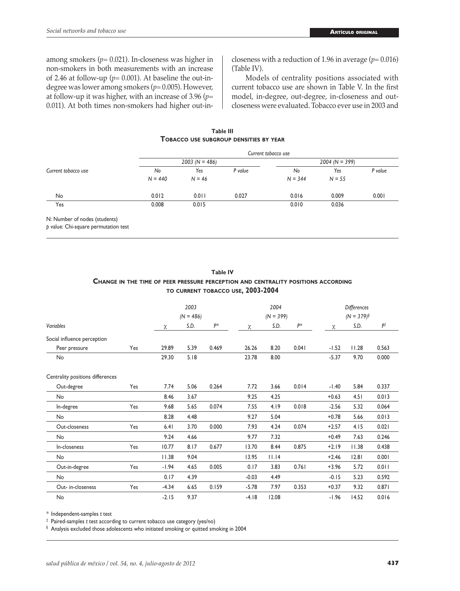among smokers (*p*= 0.021). In-closeness was higher in non-smokers in both measurements with an increase of 2.46 at follow-up ( $p=$  0.001). At baseline the out-indegree was lower among smokers (*p*= 0.005). However, at follow-up it was higher, with an increase of 3.96 (*p*= 0.011). At both times non-smokers had higher out-incloseness with a reduction of 1.96 in average (*p*= 0.016) (Table IV).

Models of centrality positions associated with current tobacco use are shown in Table V. In the first model, in-degree, out-degree, in-closeness and outcloseness were evaluated. Tobacco ever use in 2003 and

**Table III Tobacco use subgroup densities by year**

| Current tobacco use           | Current tobacco use |                  |         |                  |          |         |  |  |
|-------------------------------|---------------------|------------------|---------|------------------|----------|---------|--|--|
|                               |                     | $2003 (N = 486)$ |         | $2004 (N = 399)$ |          |         |  |  |
|                               | No                  | Yes              | P value | No               | Yes      | P value |  |  |
|                               | $N = 440$           | $N = 46$         |         | $N = 344$        | $N = 55$ |         |  |  |
| No                            | 0.012               | 0.011            | 0.027   | 0.016            | 0.009    | 0.001   |  |  |
| Yes                           | 0.008               | 0.015            |         | 0.010            | 0.036    |         |  |  |
| N: Number of nodes (students) |                     |                  |         |                  |          |         |  |  |

*p* value: Chi-square permutation test

|                                  |     | TO CURRENT TOBACCO USE, 2003-2004 |             |       |         |             |       |                    |       |       |
|----------------------------------|-----|-----------------------------------|-------------|-------|---------|-------------|-------|--------------------|-------|-------|
|                                  |     | 2003                              |             |       | 2004    |             |       | <b>Differences</b> |       |       |
|                                  |     |                                   | $(N = 486)$ |       |         | $(N = 399)$ |       | $(N = 379)^{s}$    |       |       |
| Variables                        |     | χ                                 | S.D.        | P*    | χ       | S.D.        | $P^*$ | χ                  | S.D.  | P‡    |
| Social influence perception      |     |                                   |             |       |         |             |       |                    |       |       |
| Peer pressure                    | Yes | 29.89                             | 5.39        | 0.469 | 26.26   | 8.20        | 0.041 | $-1.52$            | 11.28 | 0.563 |
| No                               |     | 29.30                             | 5.18        |       | 23.78   | 8.00        |       | $-5.37$            | 9.70  | 0.000 |
| Centrality positions differences |     |                                   |             |       |         |             |       |                    |       |       |
| Out-degree                       | Yes | 7.74                              | 5.06        | 0.264 | 7.72    | 3.66        | 0.014 | $-1.40$            | 5.84  | 0.337 |
| <b>No</b>                        |     | 8.46                              | 3.67        |       | 9.25    | 4.25        |       | $+0.63$            | 4.51  | 0.013 |
| In-degree                        | Yes | 9.68                              | 5.65        | 0.074 | 7.55    | 4.19        | 0.018 | $-2.56$            | 5.32  | 0.064 |
| No                               |     | 8.28                              | 4.48        |       | 9.27    | 5.04        |       | $+0.78$            | 5.66  | 0.013 |
| Out-closeness                    | Yes | 6.41                              | 3.70        | 0.000 | 7.93    | 4.24        | 0.074 | $+2.57$            | 4.15  | 0.021 |
| <b>No</b>                        |     | 9.24                              | 4.66        |       | 9.77    | 7.32        |       | $+0.49$            | 7.63  | 0.246 |
| In-closeness                     | Yes | 10.77                             | 8.17        | 0.677 | 13.70   | 8.44        | 0.875 | $+2.19$            | 11.38 | 0.438 |
| <b>No</b>                        |     | 11.38                             | 9.04        |       | 13.95   | 11.14       |       | $+2.46$            | 12.81 | 0.001 |
| Out-in-degree                    | Yes | $-1.94$                           | 4.65        | 0.005 | 0.17    | 3.83        | 0.761 | $+3.96$            | 5.72  | 0.011 |
| <b>No</b>                        |     | 0.17                              | 4.39        |       | $-0.03$ | 4.49        |       | $-0.15$            | 5.23  | 0.592 |
| Out- in-closeness                | Yes | $-4.34$                           | 6.65        | 0.159 | $-5.78$ | 7.97        | 0.353 | $+0.37$            | 9.32  | 0.871 |
| <b>No</b>                        |     | $-2.15$                           | 9.37        |       | $-4.18$ | 12.08       |       | $-1.96$            | 14.52 | 0.016 |

**Table IV Change in the time of peer pressure perception and centrality positions according**

\* Independent-samples *t* test ‡ Paired-samples *t* test according to current tobacco use category (yes/no)

§ Analysis excluded those adolescents who initiated smoking or quitted smoking in 2004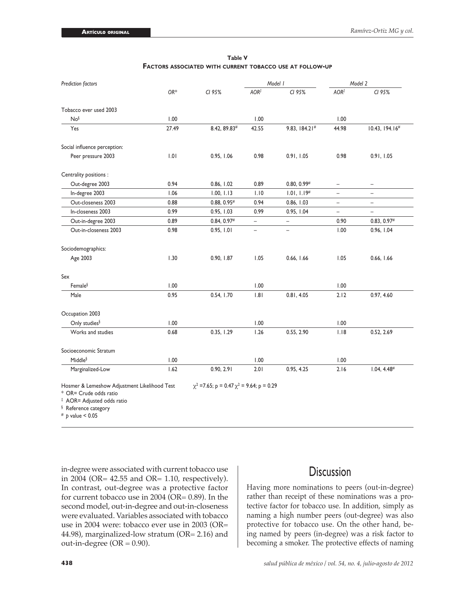| Prediction factors           |       |                | Model 1                  |                           |                          | Model 2                   |
|------------------------------|-------|----------------|--------------------------|---------------------------|--------------------------|---------------------------|
|                              | OR*   | CI 95%         | AOR <sup>‡</sup>         | CI 95%                    | AOR <sup>‡</sup>         | CI 95%                    |
| Tobacco ever used 2003       |       |                |                          |                           |                          |                           |
| No <sup>§</sup>              | 1.00  |                | 1.00                     |                           | 1.00                     |                           |
| Yes                          | 27.49 | 8.42, 89.83#   | 42.55                    | 9.83, 184.21#             | 44.98                    | 10.43, 194.16#            |
| Social influence perception: |       |                |                          |                           |                          |                           |
| Peer pressure 2003           | 1.01  | 0.95, 1.06     | 0.98                     | 0.91, 1.05                | 0.98                     | 0.91, 1.05                |
| Centrality positions :       |       |                |                          |                           |                          |                           |
| Out-degree 2003              | 0.94  | 0.86, 1.02     | 0.89                     | $0.80, 0.99$ <sup>#</sup> | $\equiv$                 | $\overline{\phantom{0}}$  |
| In-degree 2003               | 1.06  | 1.00, 1.13     | 1.10                     | 1.01, 1.19#               | $\overline{\phantom{0}}$ | $\overline{\phantom{a}}$  |
| Out-closeness 2003           | 0.88  | $0.88, 0.95$ # | 0.94                     | 0.86, 1.03                | $\overline{\phantom{0}}$ | $\overline{\phantom{a}}$  |
| In-closeness 2003            | 0.99  | 0.95, 1.03     | 0.99                     | 0.95, 1.04                | $\overline{a}$           | $\overline{\phantom{0}}$  |
| Out-in-degree 2003           | 0.89  | 0.84, 0.97#    | $\overline{\phantom{0}}$ | $\overline{\phantom{a}}$  | 0.90                     | $0.83, 0.97$ <sup>#</sup> |
| Out-in-closeness 2003        | 0.98  | 0.95, 1.01     | $\overline{\phantom{0}}$ | $\overline{\phantom{m}}$  | 1.00                     | 0.96, 1.04                |
| Sociodemographics:           |       |                |                          |                           |                          |                           |
| Age 2003                     | 1.30  | 0.90, 1.87     | 1.05                     | 0.66, 1.66                | 1.05                     | 0.66, 1.66                |
| Sex                          |       |                |                          |                           |                          |                           |
| Female§                      | 1.00  |                | 1.00                     |                           | 1.00                     |                           |
| Male                         | 0.95  | 0.54, 1.70     | 1.81                     | 0.81, 4.05                | 2.12                     | 0.97, 4.60                |
| Occupation 2003              |       |                |                          |                           |                          |                           |
| Only studies <sup>§</sup>    | 1.00  |                | 1.00                     |                           | 1.00                     |                           |
| Works and studies            | 0.68  | 0.35, 1.29     | 1.26                     | 0.55, 2.90                | 1.18                     | 0.52, 2.69                |
| Socioeconomic Stratum        |       |                |                          |                           |                          |                           |
| Middle <sup>§</sup>          | 1.00  |                | 1.00                     |                           | 1.00                     |                           |
| Marginalized-Low             | 1.62  | 0.90, 2.91     | 2.01                     | 0.95, 4.25                | 2.16                     | $1.04, 4.48$ <sup>#</sup> |

**Table V Factors associated with current tobacco use at follow-up**

Hosmer & Lemeshow Adjustment Likelihood Test =7.65;  $p = 0.47 \chi^2 = 9.64$ ;  $p = 0.29$ 

\* OR= Crude odds ratio

‡ AOR= Adjusted odds ratio

§ Reference category

# *p* value < 0.05

in-degree were associated with current tobacco use in 2004 (OR= 42.55 and OR= 1.10, respectively). In contrast, out-degree was a protective factor for current tobacco use in 2004 (OR= 0.89). In the second model, out-in-degree and out-in-closeness were evaluated. Variables associated with tobacco use in 2004 were: tobacco ever use in 2003 (OR= 44.98), marginalized-low stratum (OR= 2.16) and out-in-degree  $(OR = 0.90)$ .

# **Discussion**

Having more nominations to peers (out-in-degree) rather than receipt of these nominations was a protective factor for tobacco use. In addition, simply as naming a high number peers (out-degree) was also protective for tobacco use. On the other hand, being named by peers (in-degree) was a risk factor to becoming a smoker. The protective effects of naming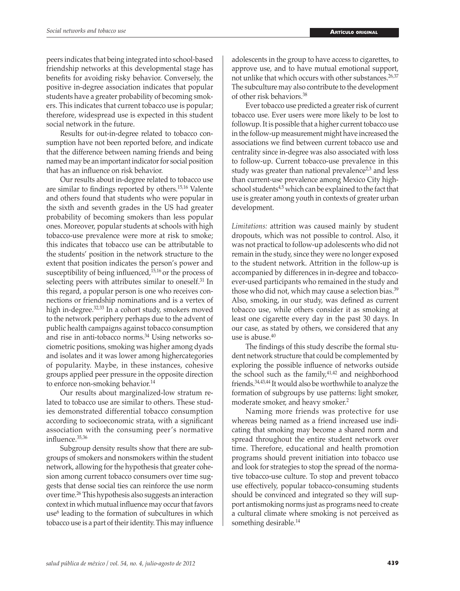peers indicates that being integrated into school-based friendship networks at this developmental stage has benefits for avoiding risky behavior. Conversely, the positive in-degree association indicates that popular students have a greater probability of becoming smokers. This indicates that current tobacco use is popular; therefore, widespread use is expected in this student social network in the future.

Results for out-in-degree related to tobacco consumption have not been reported before, and indicate that the difference between naming friends and being named may be an important indicator for social position that has an influence on risk behavior.

Our results about in-degree related to tobacco use are similar to findings reported by others.15,16 Valente and others found that students who were popular in the sixth and seventh grades in the US had greater probability of becoming smokers than less popular ones. Moreover, popular students at schools with high tobacco-use prevalence were more at risk to smoke; this indicates that tobacco use can be attributable to the students' position in the network structure to the extent that position indicates the person's power and susceptibility of being influenced, $15,16$  or the process of selecting peers with attributes similar to oneself.<sup>31</sup> In this regard, a popular person is one who receives connections or friendship nominations and is a vertex of high in-degree.32,33 In a cohort study, smokers moved to the network periphery perhaps due to the advent of public health campaigns against tobacco consumption and rise in anti-tobacco norms.34 Using networks sociometric positions, smoking was higher among dyads and isolates and it was lower among highercategories of popularity. Maybe, in these instances, cohesive groups applied peer pressure in the opposite direction to enforce non-smoking behavior.<sup>14</sup>

Our results about marginalized-low stratum related to tobacco use are similar to others. These studies demonstrated differential tobacco consumption according to socioeconomic strata, with a significant association with the consuming peer's normative influence.35,36

Subgroup density results show that there are subgroups of smokers and nonsmokers within the student network, allowing for the hypothesis that greater cohesion among current tobacco consumers over time suggests that dense social ties can reinforce the use norm over time.26 This hypothesis also suggests an interaction context in which mutual influence may occur that favors use<sup>6</sup> leading to the formation of subcultures in which tobacco use is a part of their identity. This may influence adolescents in the group to have access to cigarettes, to approve use, and to have mutual emotional support, not unlike that which occurs with other substances.<sup>26,37</sup> The subculture may also contribute to the development of other risk behaviors.38

Ever tobacco use predicted a greater risk of current tobacco use. Ever users were more likely to be lost to followup. It is possible that a higher current tobacco use in the follow-up measurement might have increased the associations we find between current tobacco use and centrality since in-degree was also associated with loss to follow-up. Current tobacco-use prevalence in this study was greater than national prevalence<sup> $2,3$ </sup> and less than current-use prevalence among Mexico City highschool students<sup>4,5</sup> which can be explained to the fact that use is greater among youth in contexts of greater urban development.

*Limitations:* attrition was caused mainly by student dropouts, which was not possible to control. Also, it was not practical to follow-up adolescents who did not remain in the study, since they were no longer exposed to the student network. Attrition in the follow-up is accompanied by differences in in-degree and tobaccoever-used participants who remained in the study and those who did not, which may cause a selection bias.<sup>39</sup> Also, smoking, in our study, was defined as current tobacco use, while others consider it as smoking at least one cigarette every day in the past 30 days. In our case, as stated by others, we considered that any use is abuse.<sup>40</sup>

The findings of this study describe the formal student network structure that could be complemented by exploring the possible influence of networks outside the school such as the family, $41,42$  and neighborhood friends.34,43,44 It would also be worthwhile to analyze the formation of subgroups by use patterns: light smoker, moderate smoker, and heavy smoker.<sup>2</sup>

Naming more friends was protective for use whereas being named as a friend increased use indicating that smoking may become a shared norm and spread throughout the entire student network over time. Therefore, educational and health promotion programs should prevent initiation into tobacco use and look for strategies to stop the spread of the normative tobacco-use culture. To stop and prevent tobacco use effectively, popular tobacco-consuming students should be convinced and integrated so they will support antismoking norms just as programs need to create a cultural climate where smoking is not perceived as something desirable.<sup>14</sup>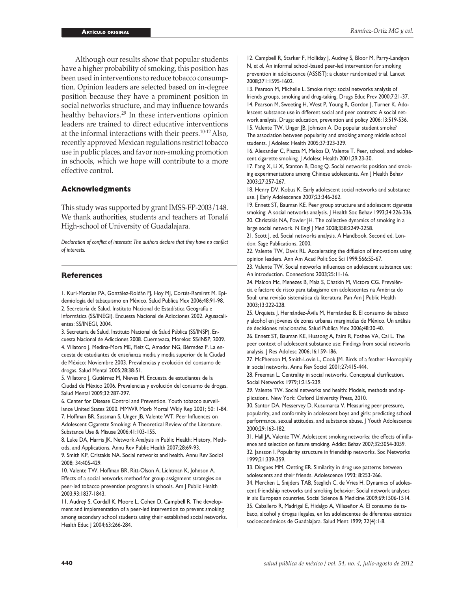Although our results show that popular students have a higher probability of smoking, this position has been used in interventions to reduce tobacco consumption. Opinion leaders are selected based on in-degree position because they have a prominent position in social networks structure, and may influence towards healthy behaviors.<sup>29</sup> In these interventions opinion leaders are trained to direct educative interventions at the informal interactions with their peers.10-12 Also, recently approved Mexican regulations restrict tobacco use in public places, and favor non-smoking promotion in schools, which we hope will contribute to a more effective control.

### **Acknowledgments**

This study was supported by grant IMSS-FP-2003/148. We thank authorities, students and teachers at Tonalá High-school of University of Guadalajara.

*Declaration of conflict of interests: The authors declare that they have no conflict of interests.*

## **References**

1. Kuri-Morales PA, González-Roldán FJ, Hoy MJ, Cortés-Ramírez M. Epidemiología del tabaquismo en México. Salud Publica Mex 2006;48:91-98. 2. Secretaría de Salud. Instituto Nacional de Estadística Geografía e Informática (SS/INEGI). Encuesta Nacional de Adicciones 2002. Aguascalientes: SS/INEGI, 2004.

3. Secretaría de Salud. Instituto Nacional de Salud Pública (SS/INSP). Encuesta Nacional de Adicciones 2008. Cuernavaca, Morelos: SS/INSP, 2009. 4. Villatoro J, Medina-Mora ME, Fleiz C, Amador NG, Bérmdez P. La encuesta de estudiantes de enseñanza media y media superior de la Ciudad de México: Noviembre 2003. Prevalencias y evolución del consumo de drogas. Salud Mental 2005;28:38-51.

5. Villatoro J, Gutiérrez M, Nieves M. Encuesta de estudiantes de la Ciudad de México 2006. Prevalencias y evolución del consumo de drogas. Salud Mental 2009;32:287-297.

6. Center for Disease Control and Prevention. Youth tobacco surveillance United States 2000. MMWR Morb Mortal Wkly Rep 2001; 50: 1-84. 7. Hoffman BR, Sussman S, Unger JB, Valente WT. Peer Influences on

Adolescent Cigarette Smoking: A Theoretical Review of the Literature. Substance Use & Misuse 2006;41:103-155.

8. Luke DA, Harris JK. Network Analysis in Public Health: History, Methods, and Applications. Annu Rev Public Health 2007;28:69-93.

9. Smith KP, Cristakis NA. Social networks and health. Annu Rev Sociol 2008; 34:405-429.

10. Valente TW, Hoffman BR, Ritt-Olson A, Lichtman K, Johnson A. Effects of a social networks method for group assignment strategies on peer-led tobacco prevention programs in schools. Am J Public Health 2003;93:1837-1843.

11. Audrey S, Cordall K, Moore L, Cohen D, Campbell R. The development and implementation of a peer-led intervention to prevent smoking among secondary school students using their established social networks. Health Educ J 2004;63:266-284.

12. Campbell R, Starker F, Holliday J, Audrey S, Bloor M, Parry-Landgon N, *et al*. An informal school-based peer-led intervention for smoking prevention in adolescence (ASSIST): a cluster randomized trial. Lancet 2008;371:1595-1602.

13. Pearson M, Michelle L. Smoke rings: social networks analysis of friends groups, smoking and drug-taking. Drugs Educ Prev 2000;7:21-37. 14. Pearson M, Sweeting H, West P, Young R, Gordon J, Turner K. Adolescent substance use in different social and peer contexts: A social network analysis. Drugs: education, prevention and policy 2006;13:519-536. 15. Valente TW, Unger JB, Johnson A. Do popular student smoke? The association between popularity and smoking among middle school students. J Adolesc Health 2005;37:323-329.

16. Alexander C, Piazza M, Mekos D, Valente T. Peer, school, and adolescent cigarette smoking. J Adolesc Health 2001;29:23-30.

17. Fang X, Li X, Stanton B, Dong Q. Social networks position and smoking experimentations among Chinese adolescents. Am J Health Behav 2003;27:257-267.

18. Henry DV, Kobus K. Early adolescent social networks and substance use. J Early Adolescence 2007;23:346-362.

19. Ennett ST, Bauman KE. Peer group structure and adolescent cigarette smoking: A social networks analysis. | Health Soc Behav 1993;34:226-236. 20. Christakis NA, Fowler JH. The collective dynamics of smoking in a large social network. N Engl J Med 2008;358:2249-2258.

21. Scott J, ed. Social networks analysis. A Handbook. Second ed. London: Sage Publications, 2000.

22. Valente TW, Davis RL. Accelerating the diffusion of innovations using opinion leaders. Ann Am Acad Polit Soc Sci 1999;566:55-67.

23. Valente TW. Social networks influences on adolescent substance use: An introduction. Connections 2003;25:11-16.

24. Malcon Mc, Menezes B, Maia S, Chatkin M, Victora CG. Prevalência e factore de risco para tabagismo em adolescentes na América do Soul: uma revisão sistemática da literatura. Pan Am J Public Health 2003;13:222-228.

25. Urquieta J, Hernández-Ávila M, Hernández B. El consumo de tabaco y alcohol en jóvenes de zonas urbanas marginadas de México. Un análisis de decisiones relacionadas. Salud Publica Mex 2006;48:30-40.

26. Ennett ST, Bauman KE, Hussong A, Fairs R, Foshee VA, Cai L. The peer context of adolescent substance use: Findings from social networks analysis. J Res Adolesc 2006;16:159-186.

27. McPherson M, Smith-Lovin L, Cook JM. Birds of a feather: Homophily in social networks. Annu Rev Sociol 2001;27:415-444.

28. Freeman L. Centrality in social networks. Conceptual clarification. Social Networks 1979;1:215-239.

29. Valente TW. Social networks and health: Models, methods and applications. New York: Oxford University Press, 2010.

30. Santor DA, Messervey D, Kusumarca V. Measuring peer pressure, popularity, and conformity in adolescent boys and girls: predicting school performance, sexual attitudes, and substance abuse. J Youth Adolescence 2000;29:163-182.

31. Hall JA, Valente TW. Adolescent smoking networks; the effects of influence and selection on future smoking. Addict Behav 2007;32:3054-3059. 32. Jansson I. Popularity structure in friendship networks. Soc Networks 1999;21:339-359.

33. Dingues MM, Oetting ER. Similarity in drug use patterns between adolescents and their friends. Adolescence 1993; 8:253-266.

34. Mercken L, Snijders TAB, Steglich C, de Vries H. Dynamics of adolescent friendship networks and smoking behavior: Social network analyses in six European countries. Social Science & Medicine 2009;69:1506-1514. 35. Caballero R, Madrigal E, Hidalgo A, Villaseñor A. El consumo de tabaco, alcohol y drogas ilegales, en los adolescentes de diferentes estratos socioeconómicos de Guadalajara. Salud Ment 1999; 22(4):1-8.